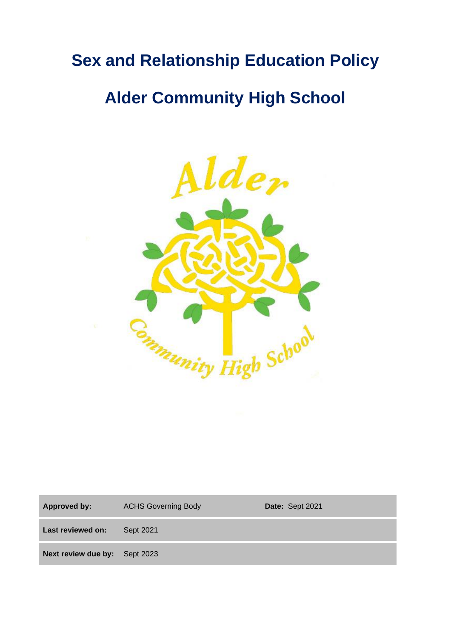# **Sex and Relationship Education Policy**

# **Alder Community High School**



Approved by: ACHS Governing Body **Date:** Sept 2021 **Last reviewed on:** Sept 2021 **Next review due by:** Sept 2023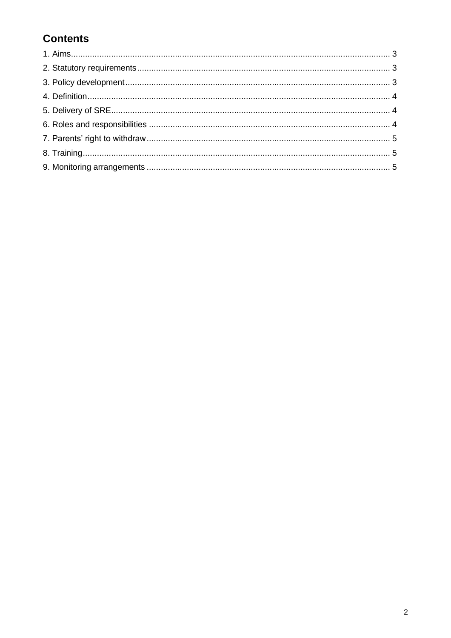# **Contents**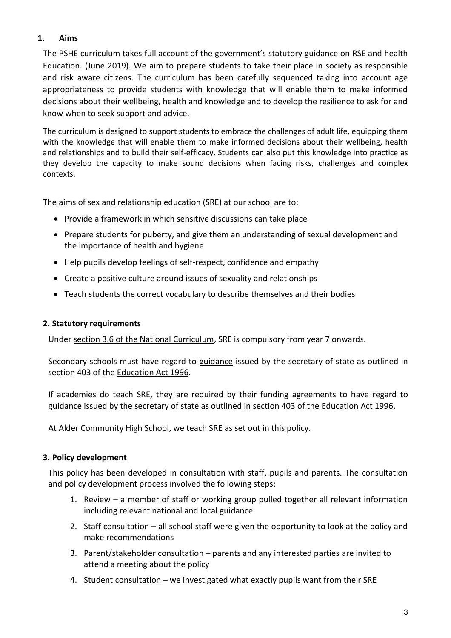# **1. Aims**

The PSHE curriculum takes full account of the government's statutory guidance on RSE and health Education. (June 2019). We aim to prepare students to take their place in society as responsible and risk aware citizens. The curriculum has been carefully sequenced taking into account age appropriateness to provide students with knowledge that will enable them to make informed decisions about their wellbeing, health and knowledge and to develop the resilience to ask for and know when to seek support and advice.

The curriculum is designed to support students to embrace the challenges of adult life, equipping them with the knowledge that will enable them to make informed decisions about their wellbeing, health and relationships and to build their self-efficacy. Students can also put this knowledge into practice as they develop the capacity to make sound decisions when facing risks, challenges and complex contexts.

The aims of sex and relationship education (SRE) at our school are to:

- Provide a framework in which sensitive discussions can take place
- Prepare students for puberty, and give them an understanding of sexual development and the importance of health and hygiene
- Help pupils develop feelings of self-respect, confidence and empathy
- Create a positive culture around issues of sexuality and relationships
- Teach students the correct vocabulary to describe themselves and their bodies

#### **2. Statutory requirements**

Under [section 3.6 of the National Curriculum,](https://www.gov.uk/government/publications/national-curriculum-in-england-framework-for-key-stages-1-to-4/the-national-curriculum-in-england-framework-for-key-stages-1-to-4) SRE is compulsory from year 7 onwards.

Secondary schools must have regard to [guidance](https://www.gov.uk/government/publications/sex-and-relationship-education) issued by the secretary of state as outlined in section 403 of the [Education Act 1996.](http://www.legislation.gov.uk/ukpga/1996/56/contents)

If academies do teach SRE, they are required by their funding agreements to have regard to [guidance](https://www.gov.uk/government/publications/sex-and-relationship-education) issued by the secretary of state as outlined in section 403 of the [Education Act 1996.](http://www.legislation.gov.uk/ukpga/1996/56/contents)

At Alder Community High School, we teach SRE as set out in this policy.

# **3. Policy development**

This policy has been developed in consultation with staff, pupils and parents. The consultation and policy development process involved the following steps:

- 1. Review a member of staff or working group pulled together all relevant information including relevant national and local guidance
- 2. Staff consultation all school staff were given the opportunity to look at the policy and make recommendations
- 3. Parent/stakeholder consultation parents and any interested parties are invited to attend a meeting about the policy
- 4. Student consultation we investigated what exactly pupils want from their SRE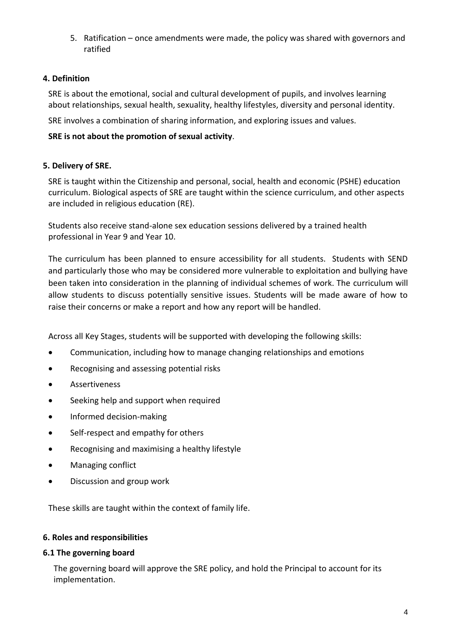5. Ratification – once amendments were made, the policy was shared with governors and ratified

# **4. Definition**

SRE is about the emotional, social and cultural development of pupils, and involves learning about relationships, sexual health, sexuality, healthy lifestyles, diversity and personal identity.

SRE involves a combination of sharing information, and exploring issues and values.

# **SRE is not about the promotion of sexual activity**.

# **5. Delivery of SRE.**

SRE is taught within the Citizenship and personal, social, health and economic (PSHE) education curriculum. Biological aspects of SRE are taught within the science curriculum, and other aspects are included in religious education (RE).

Students also receive stand-alone sex education sessions delivered by a trained health professional in Year 9 and Year 10.

The curriculum has been planned to ensure accessibility for all students. Students with SEND and particularly those who may be considered more vulnerable to exploitation and bullying have been taken into consideration in the planning of individual schemes of work. The curriculum will allow students to discuss potentially sensitive issues. Students will be made aware of how to raise their concerns or make a report and how any report will be handled.

Across all Key Stages, students will be supported with developing the following skills:

- Communication, including how to manage changing relationships and emotions
- Recognising and assessing potential risks
- **Assertiveness**
- Seeking help and support when required
- Informed decision-making
- Self-respect and empathy for others
- Recognising and maximising a healthy lifestyle
- Managing conflict
- Discussion and group work

These skills are taught within the context of family life.

#### **6. Roles and responsibilities**

#### **6.1 The governing board**

The governing board will approve the SRE policy, and hold the Principal to account for its implementation.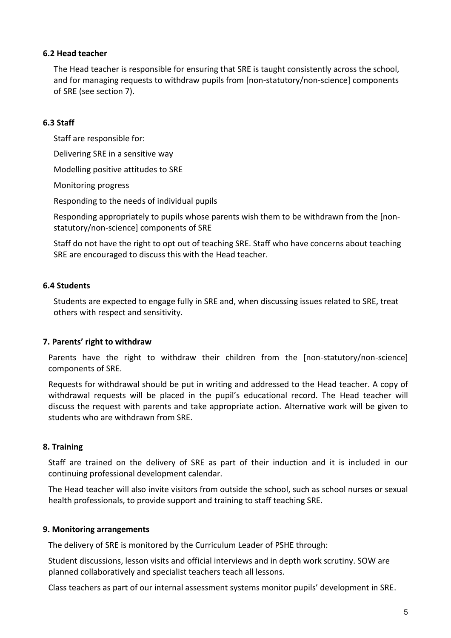#### **6.2 Head teacher**

The Head teacher is responsible for ensuring that SRE is taught consistently across the school, and for managing requests to withdraw pupils from [non-statutory/non-science] components of SRE (see section 7).

#### **6.3 Staff**

Staff are responsible for:

Delivering SRE in a sensitive way

Modelling positive attitudes to SRE

Monitoring progress

Responding to the needs of individual pupils

Responding appropriately to pupils whose parents wish them to be withdrawn from the [nonstatutory/non-science] components of SRE

Staff do not have the right to opt out of teaching SRE. Staff who have concerns about teaching SRE are encouraged to discuss this with the Head teacher.

# **6.4 Students**

Students are expected to engage fully in SRE and, when discussing issues related to SRE, treat others with respect and sensitivity.

# **7. Parents' right to withdraw**

Parents have the right to withdraw their children from the [non-statutory/non-science] components of SRE.

Requests for withdrawal should be put in writing and addressed to the Head teacher. A copy of withdrawal requests will be placed in the pupil's educational record. The Head teacher will discuss the request with parents and take appropriate action. Alternative work will be given to students who are withdrawn from SRE.

# **8. Training**

Staff are trained on the delivery of SRE as part of their induction and it is included in our continuing professional development calendar.

The Head teacher will also invite visitors from outside the school, such as school nurses or sexual health professionals, to provide support and training to staff teaching SRE.

# **9. Monitoring arrangements**

The delivery of SRE is monitored by the Curriculum Leader of PSHE through:

Student discussions, lesson visits and official interviews and in depth work scrutiny. SOW are planned collaboratively and specialist teachers teach all lessons.

Class teachers as part of our internal assessment systems monitor pupils' development in SRE.